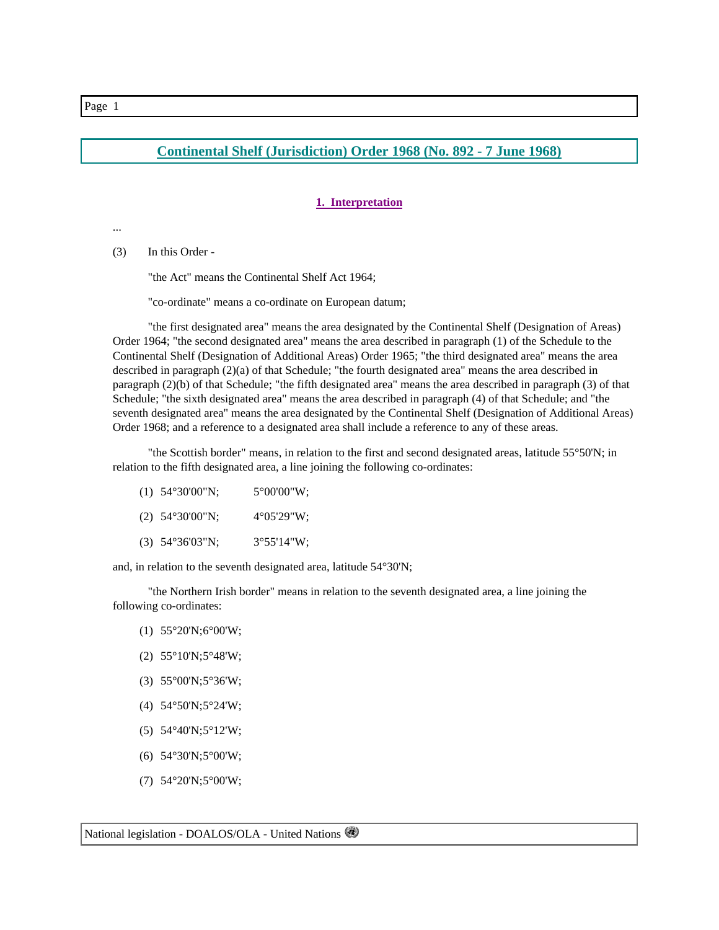# **Continental Shelf (Jurisdiction) Order 1968 (No. 892 - 7 June 1968)**

## **1. Interpretation**

...

(3) In this Order -

"the Act" means the Continental Shelf Act 1964;

"co-ordinate" means a co-ordinate on European datum;

 "the first designated area" means the area designated by the Continental Shelf (Designation of Areas) Order 1964; "the second designated area" means the area described in paragraph (1) of the Schedule to the Continental Shelf (Designation of Additional Areas) Order 1965; "the third designated area" means the area described in paragraph (2)(a) of that Schedule; "the fourth designated area" means the area described in paragraph (2)(b) of that Schedule; "the fifth designated area" means the area described in paragraph (3) of that Schedule; "the sixth designated area" means the area described in paragraph (4) of that Schedule; and "the seventh designated area" means the area designated by the Continental Shelf (Designation of Additional Areas) Order 1968; and a reference to a designated area shall include a reference to any of these areas.

 "the Scottish border" means, in relation to the first and second designated areas, latitude 55°50'N; in relation to the fifth designated area, a line joining the following co-ordinates:

| $(1)$ 54°30'00"N; | $5^{\circ}00'00''W$   |
|-------------------|-----------------------|
| $(2)$ 54°30'00"N; | $4^{\circ}05'29''W$ ; |
| $(3)$ 54°36'03"N; | $3^{\circ}55'14''W$ ; |

and, in relation to the seventh designated area, latitude 54°30'N;

 "the Northern Irish border" means in relation to the seventh designated area, a line joining the following co-ordinates:

- (1) 55°20'N; 6°00'W;
- $(2)$  55°10'N;5°48'W;
- (3) 55°00'N; 5°36'W;
- (4)  $54^{\circ}50'$ N;  $5^{\circ}24'$ W;
- (5)  $54^{\circ}40'$ N;  $5^{\circ}12'$ W;
- (6) 54°30'N; 5°00'W;
- (7) 54°20'N; 5°00'W;

National legislation - DOALOS/OLA - United Nations